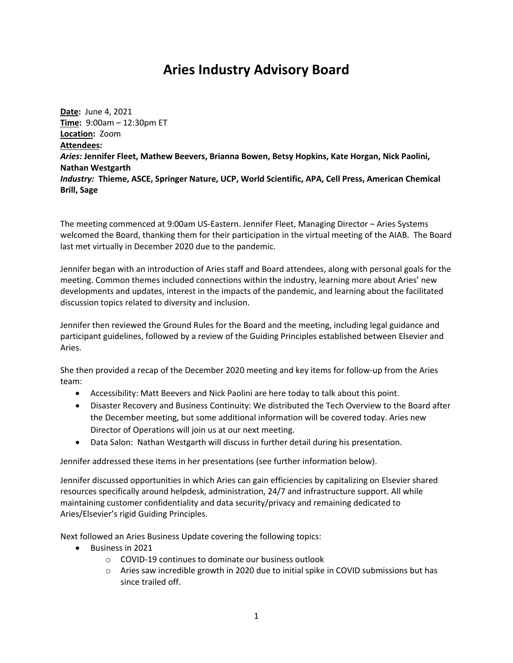## **Aries Industry Advisory Board**

**Date:** June 4, 2021 **Time:** 9:00am – 12:30pm ET **Location:** Zoom **Attendees:** *Aries:* **Jennifer Fleet, Mathew Beevers, Brianna Bowen, Betsy Hopkins, Kate Horgan, Nick Paolini, Nathan Westgarth** *Industry:* **Thieme, ASCE, Springer Nature, UCP, World Scientific, APA, Cell Press, American Chemical Brill, Sage**

The meeting commenced at 9:00am US-Eastern. Jennifer Fleet, Managing Director – Aries Systems welcomed the Board, thanking them for their participation in the virtual meeting of the AIAB. The Board last met virtually in December 2020 due to the pandemic.

Jennifer began with an introduction of Aries staff and Board attendees, along with personal goals for the meeting. Common themes included connections within the industry, learning more about Aries' new developments and updates, interest in the impacts of the pandemic, and learning about the facilitated discussion topics related to diversity and inclusion.

Jennifer then reviewed the Ground Rules for the Board and the meeting, including legal guidance and participant guidelines, followed by a review of the Guiding Principles established between Elsevier and Aries.

She then provided a recap of the December 2020 meeting and key items for follow-up from the Aries team:

- Accessibility: Matt Beevers and Nick Paolini are here today to talk about this point.
- Disaster Recovery and Business Continuity: We distributed the Tech Overview to the Board after the December meeting, but some additional information will be covered today. Aries new Director of Operations will join us at our next meeting.
- Data Salon: Nathan Westgarth will discuss in further detail during his presentation.

Jennifer addressed these items in her presentations (see further information below).

Jennifer discussed opportunities in which Aries can gain efficiencies by capitalizing on Elsevier shared resources specifically around helpdesk, administration, 24/7 and infrastructure support. All while maintaining customer confidentiality and data security/privacy and remaining dedicated to Aries/Elsevier's rigid Guiding Principles.

Next followed an Aries Business Update covering the following topics:

- Business in 2021
	- o COVID-19 continues to dominate our business outlook
	- o Aries saw incredible growth in 2020 due to initial spike in COVID submissions but has since trailed off.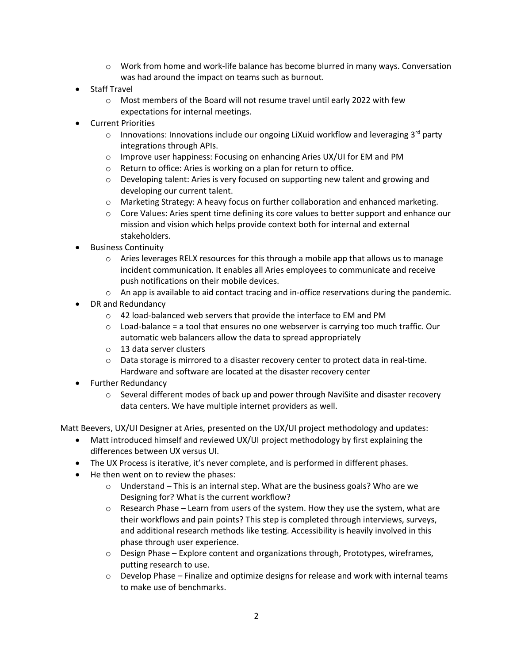- $\circ$  Work from home and work-life balance has become blurred in many ways. Conversation was had around the impact on teams such as burnout.
- Staff Travel
	- $\circ$  Most members of the Board will not resume travel until early 2022 with few expectations for internal meetings.
- Current Priorities
	- $\circ$  Innovations: Innovations include our ongoing LiXuid workflow and leveraging 3<sup>rd</sup> party integrations through APIs.
	- o Improve user happiness: Focusing on enhancing Aries UX/UI for EM and PM
	- o Return to office: Aries is working on a plan for return to office.
	- $\circ$  Developing talent: Aries is very focused on supporting new talent and growing and developing our current talent.
	- o Marketing Strategy: A heavy focus on further collaboration and enhanced marketing.
	- $\circ$  Core Values: Aries spent time defining its core values to better support and enhance our mission and vision which helps provide context both for internal and external stakeholders.
- Business Continuity
	- $\circ$  Aries leverages RELX resources for this through a mobile app that allows us to manage incident communication. It enables all Aries employees to communicate and receive push notifications on their mobile devices.
	- $\circ$  An app is available to aid contact tracing and in-office reservations during the pandemic.
- DR and Redundancy
	- o 42 load-balanced web servers that provide the interface to EM and PM
	- $\circ$  Load-balance = a tool that ensures no one webserver is carrying too much traffic. Our automatic web balancers allow the data to spread appropriately
	- o 13 data server clusters
	- $\circ$  Data storage is mirrored to a disaster recovery center to protect data in real-time. Hardware and software are located at the disaster recovery center
- Further Redundancy
	- $\circ$  Several different modes of back up and power through NaviSite and disaster recovery data centers. We have multiple internet providers as well.

Matt Beevers, UX/UI Designer at Aries, presented on the UX/UI project methodology and updates:

- Matt introduced himself and reviewed UX/UI project methodology by first explaining the differences between UX versus UI.
- The UX Process is iterative, it's never complete, and is performed in different phases.
- He then went on to review the phases:
	- $\circ$  Understand This is an internal step. What are the business goals? Who are we Designing for? What is the current workflow?
	- $\circ$  Research Phase Learn from users of the system. How they use the system, what are their workflows and pain points? This step is completed through interviews, surveys, and additional research methods like testing. Accessibility is heavily involved in this phase through user experience.
	- $\circ$  Design Phase Explore content and organizations through, Prototypes, wireframes, putting research to use.
	- $\circ$  Develop Phase Finalize and optimize designs for release and work with internal teams to make use of benchmarks.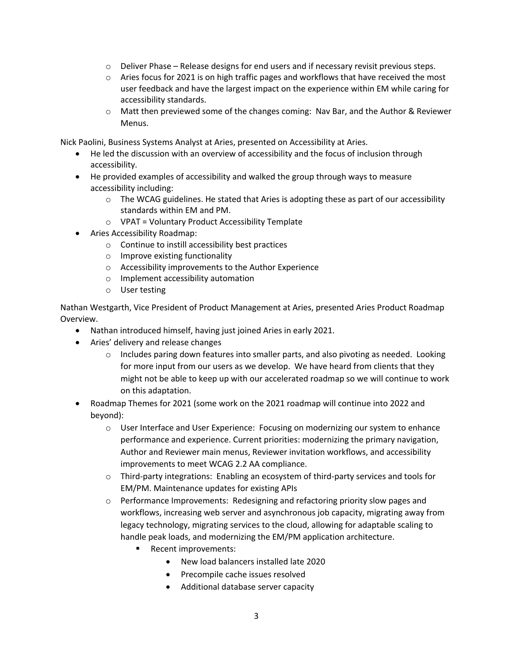- $\circ$  Deliver Phase Release designs for end users and if necessary revisit previous steps.
- $\circ$  Aries focus for 2021 is on high traffic pages and workflows that have received the most user feedback and have the largest impact on the experience within EM while caring for accessibility standards.
- $\circ$  Matt then previewed some of the changes coming: Nav Bar, and the Author & Reviewer Menus.

Nick Paolini, Business Systems Analyst at Aries, presented on Accessibility at Aries.

- He led the discussion with an overview of accessibility and the focus of inclusion through accessibility.
- He provided examples of accessibility and walked the group through ways to measure accessibility including:
	- $\circ$  The WCAG guidelines. He stated that Aries is adopting these as part of our accessibility standards within EM and PM.
	- o VPAT = Voluntary Product Accessibility Template
- Aries Accessibility Roadmap:
	- o Continue to instill accessibility best practices
	- o Improve existing functionality
	- o Accessibility improvements to the Author Experience
	- o Implement accessibility automation
	- o User testing

Nathan Westgarth, Vice President of Product Management at Aries, presented Aries Product Roadmap Overview.

- Nathan introduced himself, having just joined Aries in early 2021.
- Aries' delivery and release changes
	- $\circ$  Includes paring down features into smaller parts, and also pivoting as needed. Looking for more input from our users as we develop. We have heard from clients that they might not be able to keep up with our accelerated roadmap so we will continue to work on this adaptation.
- Roadmap Themes for 2021 (some work on the 2021 roadmap will continue into 2022 and beyond):
	- o User Interface and User Experience: Focusing on modernizing our system to enhance performance and experience. Current priorities: modernizing the primary navigation, Author and Reviewer main menus, Reviewer invitation workflows, and accessibility improvements to meet WCAG 2.2 AA compliance.
	- o Third-party integrations: Enabling an ecosystem of third-party services and tools for EM/PM. Maintenance updates for existing APIs
	- o Performance Improvements: Redesigning and refactoring priority slow pages and workflows, increasing web server and asynchronous job capacity, migrating away from legacy technology, migrating services to the cloud, allowing for adaptable scaling to handle peak loads, and modernizing the EM/PM application architecture.
		- Recent improvements:
			- New load balancers installed late 2020
			- Precompile cache issues resolved
			- Additional database server capacity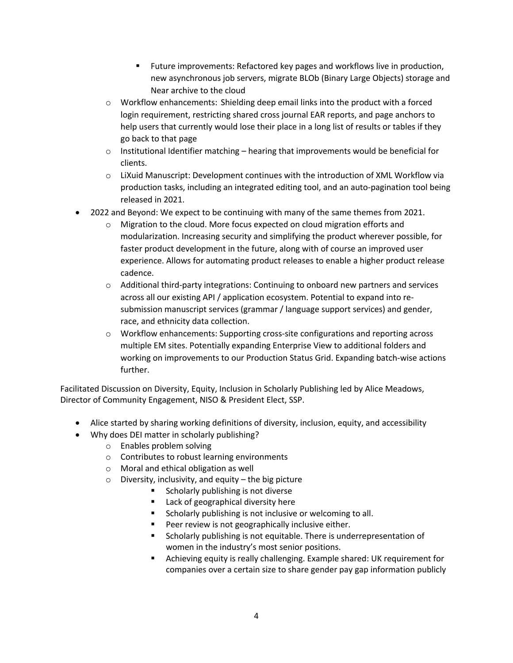- Future improvements: Refactored key pages and workflows live in production, new asynchronous job servers, migrate BLOb (Binary Large Objects) storage and Near archive to the cloud
- $\circ$  Workflow enhancements: Shielding deep email links into the product with a forced login requirement, restricting shared cross journal EAR reports, and page anchors to help users that currently would lose their place in a long list of results or tables if they go back to that page
- $\circ$  Institutional Identifier matching hearing that improvements would be beneficial for clients.
- o LiXuid Manuscript: Development continues with the introduction of XML Workflow via production tasks, including an integrated editing tool, and an auto-pagination tool being released in 2021.
- 2022 and Beyond: We expect to be continuing with many of the same themes from 2021.
	- o Migration to the cloud. More focus expected on cloud migration efforts and modularization. Increasing security and simplifying the product wherever possible, for faster product development in the future, along with of course an improved user experience. Allows for automating product releases to enable a higher product release cadence.
	- o Additional third-party integrations: Continuing to onboard new partners and services across all our existing API / application ecosystem. Potential to expand into resubmission manuscript services (grammar / language support services) and gender, race, and ethnicity data collection.
	- $\circ$  Workflow enhancements: Supporting cross-site configurations and reporting across multiple EM sites. Potentially expanding Enterprise View to additional folders and working on improvements to our Production Status Grid. Expanding batch-wise actions further.

Facilitated Discussion on Diversity, Equity, Inclusion in Scholarly Publishing led by Alice Meadows, Director of Community Engagement, NISO & President Elect, SSP.

- Alice started by sharing working definitions of diversity, inclusion, equity, and accessibility
- Why does DEI matter in scholarly publishing?
	- o Enables problem solving
	- o Contributes to robust learning environments
	- o Moral and ethical obligation as well
	- $\circ$  Diversity, inclusivity, and equity the big picture
		- Scholarly publishing is not diverse
		- Lack of geographical diversity here
		- Scholarly publishing is not inclusive or welcoming to all.
		- Peer review is not geographically inclusive either.
		- Scholarly publishing is not equitable. There is underrepresentation of women in the industry's most senior positions.
		- § Achieving equity is really challenging. Example shared: UK requirement for companies over a certain size to share gender pay gap information publicly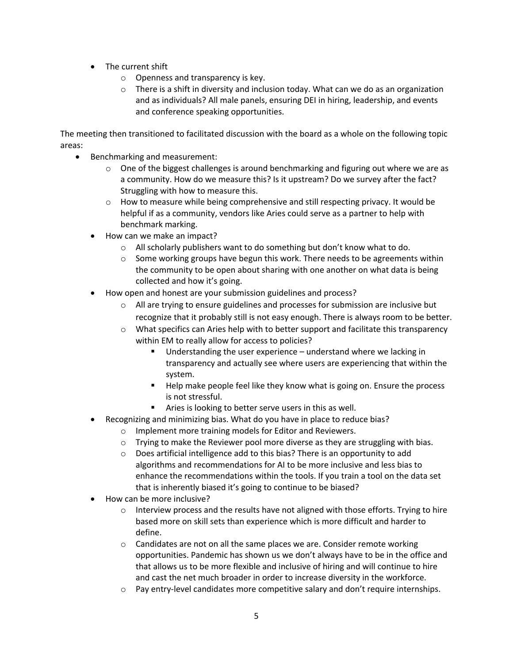- The current shift
	- o Openness and transparency is key.
	- $\circ$  There is a shift in diversity and inclusion today. What can we do as an organization and as individuals? All male panels, ensuring DEI in hiring, leadership, and events and conference speaking opportunities.

The meeting then transitioned to facilitated discussion with the board as a whole on the following topic areas:

- Benchmarking and measurement:
	- $\circ$  One of the biggest challenges is around benchmarking and figuring out where we are as a community. How do we measure this? Is it upstream? Do we survey after the fact? Struggling with how to measure this.
	- $\circ$  How to measure while being comprehensive and still respecting privacy. It would be helpful if as a community, vendors like Aries could serve as a partner to help with benchmark marking.
	- How can we make an impact?
		- o All scholarly publishers want to do something but don't know what to do.
		- $\circ$  Some working groups have begun this work. There needs to be agreements within the community to be open about sharing with one another on what data is being collected and how it's going.
	- How open and honest are your submission guidelines and process?
		- $\circ$  All are trying to ensure guidelines and processes for submission are inclusive but recognize that it probably still is not easy enough. There is always room to be better.
		- $\circ$  What specifics can Aries help with to better support and facilitate this transparency within EM to really allow for access to policies?
			- Understanding the user experience  $-$  understand where we lacking in transparency and actually see where users are experiencing that within the system.
			- Help make people feel like they know what is going on. Ensure the process is not stressful.
			- Aries is looking to better serve users in this as well.
	- Recognizing and minimizing bias. What do you have in place to reduce bias?
		- o Implement more training models for Editor and Reviewers.
		- o Trying to make the Reviewer pool more diverse as they are struggling with bias.
		- o Does artificial intelligence add to this bias? There is an opportunity to add algorithms and recommendations for AI to be more inclusive and less bias to enhance the recommendations within the tools. If you train a tool on the data set that is inherently biased it's going to continue to be biased?
	- How can be more inclusive?
		- $\circ$  Interview process and the results have not aligned with those efforts. Trying to hire based more on skill sets than experience which is more difficult and harder to define.
		- $\circ$  Candidates are not on all the same places we are. Consider remote working opportunities. Pandemic has shown us we don't always have to be in the office and that allows us to be more flexible and inclusive of hiring and will continue to hire and cast the net much broader in order to increase diversity in the workforce.
		- $\circ$  Pay entry-level candidates more competitive salary and don't require internships.